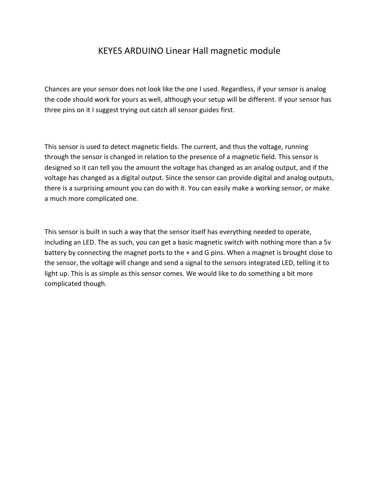## KEYES ARDUINO Linear Hall magnetic module

Chances are your sensor does not look like the one I used. Regardless, if your sensor is analog the code should work for yours as well, although your setup will be different. If your sensor has three pins on it I suggest trying out catch all sensor guides first.

This sensor is used to detect magnetic fields. The current, and thus the voltage, running through the sensor is changed in relation to the presence of a magnetic field. This sensor is designed so it can tell you the amount the voltage has changed as an analog output, and if the voltage has changed as a digital output. Since the sensor can provide digital and analog outputs, there is a surprising amount you can do with it. You can easily make a working sensor, or make a much more complicated one.

This sensor is built in such a way that the sensor itself has everything needed to operate, including an LED. The as such, you can get a basic magnetic switch with nothing more than a 5v battery by connecting the magnet ports to the + and G pins. When a magnet is brought close to the sensor, the voltage will change and send a signal to the sensors integrated LED, telling it to light up. This is as simple as this sensor comes. We would like to do something a bit more complicated though.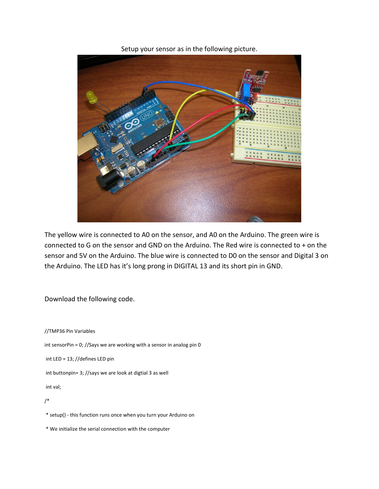Setup your sensor as in the following picture.



The yellow wire is connected to A0 on the sensor, and A0 on the Arduino. The green wire is connected to G on the sensor and GND on the Arduino. The Red wire is connected to + on the sensor and 5V on the Arduino. The blue wire is connected to D0 on the sensor and Digital 3 on the Arduino. The LED has it's long prong in DIGITAL 13 and its short pin in GND.

Download the following code.

//TMP36 Pin Variables int sensorPin = 0; //Says we are working with a sensor in analog pin 0 int LED = 13; //defines LED pin int buttonpin= 3; //says we are look at digtial 3 as well int val; /\*

\* setup() - this function runs once when you turn your Arduino on

\* We initialize the serial connection with the computer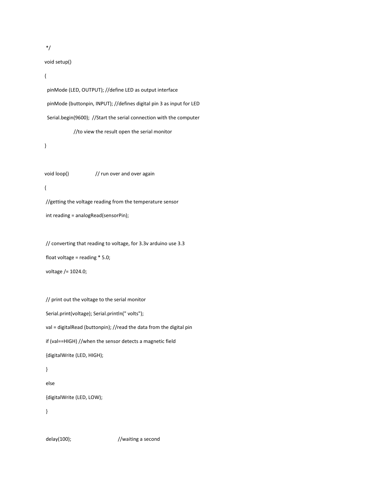\*/

void setup()

## {

 pinMode (LED, OUTPUT); //define LED as output interface pinMode (buttonpin, INPUT); //defines digital pin 3 as input for LED Serial.begin(9600); //Start the serial connection with the computer //to view the result open the serial monitor

}

void loop()  $\frac{1}{2}$  // run over and over again { //getting the voltage reading from the temperature sensor

int reading = analogRead(sensorPin);

// converting that reading to voltage, for 3.3v arduino use 3.3 float voltage = reading  $*$  5.0; voltage /= 1024.0;

// print out the voltage to the serial monitor Serial.print(voltage); Serial.println(" volts"); val = digitalRead (buttonpin); //read the data from the digital pin if (val==HIGH) //when the sensor detects a magnetic field {digitalWrite (LED, HIGH); }

else

{digitalWrite (LED, LOW);

}

delay(100);  $//waiting a second$